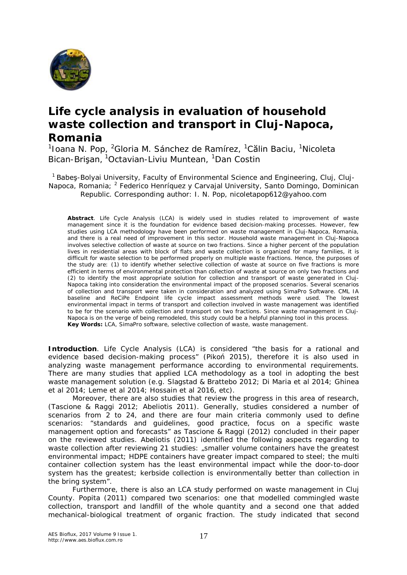

## **Life cycle analysis in evaluation of household waste collection and transport in Cluj-Napoca, Romania**

<sup>1</sup>Ioana N. Pop, <sup>2</sup>Gloria M. Sánchez de Ramírez, <sup>1</sup>Călin Baciu, <sup>1</sup>Nicoleta Bican-Brişan, <sup>1</sup>Octavian-Liviu Muntean, <sup>1</sup>Dan Costin

<sup>1</sup> Babes-Bolyai University, Faculty of Environmental Science and Engineering, Cluj, Cluj-Napoca, Romania; <sup>2</sup> Federico Henríquez y Carvajal University, Santo Domingo, Dominican Republic. Corresponding author: I. N. Pop, nicoletapop612@yahoo.com

**Abstract**. Life Cycle Analysis (LCA) is widely used in studies related to improvement of waste management since it is the foundation for evidence based decision-making processes. However, few studies using LCA methodology have been performed on waste management in Cluj-Napoca, Romania, and there is a real need of improvement in this sector. Household waste management in Cluj-Napoca involves selective collection of waste at source on two fractions. Since a higher percent of the population lives in residential areas with block of flats and waste collection is organized for many families, it is difficult for waste selection to be performed properly on multiple waste fractions. Hence, the purposes of the study are: (1) to identify whether selective collection of waste at source on five fractions is more efficient in terms of environmental protection than collection of waste at source on only two fractions and (2) to identify the most appropriate solution for collection and transport of waste generated in Cluj-Napoca taking into consideration the environmental impact of the proposed scenarios. Several scenarios of collection and transport were taken in consideration and analyzed using SimaPro Software. CML IA baseline and ReCiPe Endpoint life cycle impact assessment methods were used. The lowest environmental impact in terms of transport and collection involved in waste management was identified to be for the scenario with collection and transport on two fractions. Since waste management in Cluj-Napoca is on the verge of being remodeled, this study could be a helpful planning tool in this process. **Key Words***:* LCA, SimaPro software, selective collection of waste, waste management.

**Introduction**. Life Cycle Analysis (LCA) is considered "the basis for a rational and evidence based decision-making process" (Pikoń 2015), therefore it is also used in analyzing waste management performance according to environmental requirements. There are many studies that applied LCA methodology as a tool in adopting the best waste management solution (e.g. Slagstad & Brattebo 2012; Di Maria et al 2014; Ghinea et al 2014; Leme et al 2014; Hossain et al 2016, etc).

Moreover, there are also studies that review the progress in this area of research, (Tascione & Raggi 2012; Abeliotis 2011). Generally, studies considered a number of scenarios from 2 to 24, and there are four main criteria commonly used to define scenarios: "standards and guidelines, good practice, focus on a specific waste management option and forecasts" as Tascione & Raggi (2012) concluded in their paper on the reviewed studies. Abeliotis (2011) identified the following aspects regarding to waste collection after reviewing 21 studies: "smaller volume containers have the greatest environmental impact; HDPE containers have greater impact compared to steel; the multi container collection system has the least environmental impact while the door-to-door system has the greatest; kerbside collection is environmentally better than collection in the bring system".

Furthermore, there is also an LCA study performed on waste management in Cluj County. Popita (2011) compared two scenarios: one that modelled commingled waste collection, transport and landfill of the whole quantity and a second one that added mechanical-biological treatment of organic fraction. The study indicated that second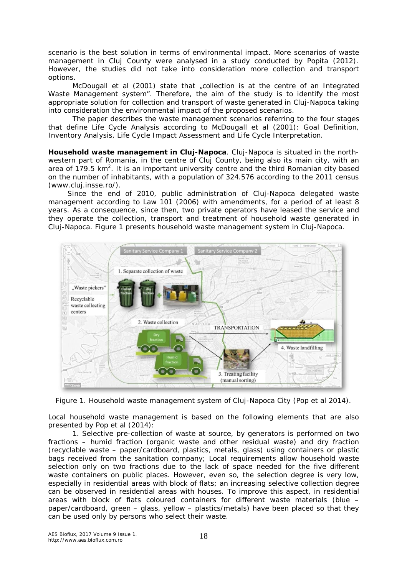scenario is the best solution in terms of environmental impact. More scenarios of waste management in Cluj County were analysed in a study conducted by Popita (2012). However, the studies did not take into consideration more collection and transport options.

McDougall et al (2001) state that "collection is at the centre of an Integrated Waste Management system". Therefore, the aim of the study is to identify the most appropriate solution for collection and transport of waste generated in Cluj-Napoca taking into consideration the environmental impact of the proposed scenarios.

The paper describes the waste management scenarios referring to the four stages that define Life Cycle Analysis according to McDougall et al (2001): Goal Definition, Inventory Analysis, Life Cycle Impact Assessment and Life Cycle Interpretation.

*Household waste management in Cluj-Napoca*. Cluj-Napoca is situated in the northwestern part of Romania, in the centre of Cluj County, being also its main city, with an area of 179.5 km<sup>2</sup>. It is an important university centre and the third Romanian city based on the number of inhabitants, with a population of 324.576 according to the 2011 census (www.cluj.insse.ro/).

Since the end of 2010, public administration of Cluj-Napoca delegated waste management according to Law 101 (2006) with amendments, for a period of at least 8 years. As a consequence, since then, two private operators have leased the service and they operate the collection, transport and treatment of household waste generated in Cluj-Napoca. Figure 1 presents household waste management system in Cluj-Napoca.



Figure 1. Household waste management system of Cluj-Napoca City (Pop et al 2014).

Local household waste management is based on the following elements that are also presented by Pop et al (2014):

*1. Selective pre-collection of waste at source, by generators* is performed on two fractions – humid fraction (organic waste and other residual waste) and dry fraction (recyclable waste – paper/cardboard, plastics, metals, glass) using containers or plastic bags received from the sanitation company; Local requirements allow household waste selection only on two fractions due to the lack of space needed for the five different waste containers on public places. However, even so, the selection degree is very low, especially in residential areas with block of flats; an increasing selective collection degree can be observed in residential areas with houses. To improve this aspect, in residential areas with block of flats coloured containers for different waste materials (blue – paper/cardboard, green – glass, yellow – plastics/metals) have been placed so that they can be used only by persons who select their waste.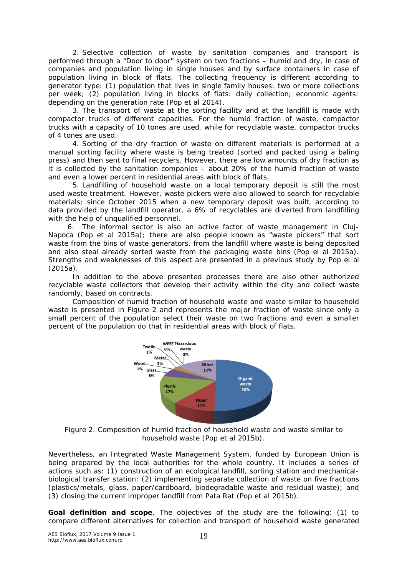*2. Selective collection of waste by sanitation companies and transport* is performed through a "Door to door" system on two fractions – humid and dry, in case of companies and population living in single houses and by surface containers in case of population living in block of flats. The collecting frequency is different according to generator type: (1) population that lives in single family houses: two or more collections per week; (2) population living in blocks of flats: daily collection; economic agents: depending on the generation rate (Pop et al 2014).

*3.* The *transport of waste* at the sorting facility and at the landfill is made with compactor trucks of different capacities. For the humid fraction of waste, compactor trucks with a capacity of 10 tones are used, while for recyclable waste, compactor trucks of 4 tones are used.

*4. Sorting of the dry fraction of waste* on different materials is performed at a manual sorting facility where waste is being treated (sorted and packed using a baling press) and then sent to final recyclers. However, there are low amounts of dry fraction as it is collected by the sanitation companies – about 20% of the humid fraction of waste and even a lower percent in residential areas with block of flats.

*5. Landfilling* of household waste on a local temporary deposit is still the most used waste treatment. However, waste pickers were also allowed to search for recyclable materials; since October 2015 when a new temporary deposit was built, according to data provided by the landfill operator, a 6% of recyclables are diverted from landfilling with the help of unqualified personnel.

*6. The informal sector is also an active factor of waste management in Cluj-Napoca* (Pop et al 2015a); there are also people known as "waste pickers" that sort waste from the bins of waste generators, from the landfill where waste is being deposited and also steal already sorted waste from the packaging waste bins (Pop el al 2015a). Strengths and weaknesses of this aspect are presented in a previous study by Pop el al (2015a).

In addition to the above presented processes there are also other authorized recyclable waste collectors that develop their activity within the city and collect waste randomly, based on contracts.

Composition of humid fraction of household waste and waste similar to household waste is presented in Figure 2 and represents the major fraction of waste since only a small percent of the population select their waste on two fractions and even a smaller percent of the population do that in residential areas with block of flats.



Figure 2. Composition of humid fraction of household waste and waste similar to household waste (Pop et al 2015b).

Nevertheless, an Integrated Waste Management System, funded by European Union is being prepared by the local authorities for the whole country. It includes a series of actions such as: (1) construction of an ecological landfill, sorting station and mechanicalbiological transfer station; (2) implementing separate collection of waste on five fractions (plastics/metals, glass, paper/cardboard, biodegradable waste and residual waste); and (3) closing the current improper landfill from Pata Rat (Pop et al 2015b).

*Goal definition and scope*. The objectives of the study are the following: (1) to compare different alternatives for collection and transport of household waste generated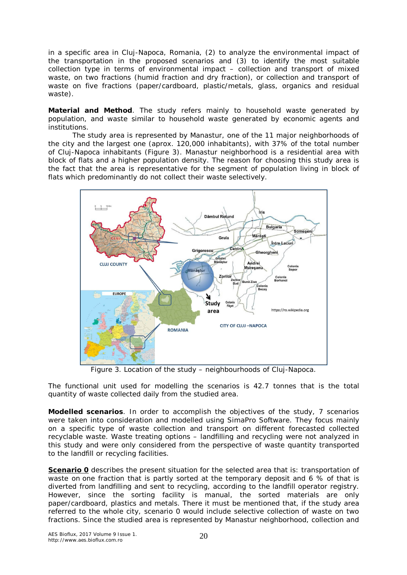in a specific area in Cluj-Napoca, Romania, (2) to analyze the environmental impact of the transportation in the proposed scenarios and (3) to identify the most suitable collection type in terms of environmental impact – collection and transport of mixed waste, on two fractions (humid fraction and dry fraction), or collection and transport of waste on five fractions (paper/cardboard, plastic/metals, glass, organics and residual waste).

**Material and Method**. The study refers mainly to household waste generated by population, and waste similar to household waste generated by economic agents and institutions.

The study area is represented by Manastur, one of the 11 major neighborhoods of the city and the largest one (aprox. 120,000 inhabitants), with 37% of the total number of Cluj-Napoca inhabitants (Figure 3). Manastur neighborhood is a residential area with block of flats and a higher population density. The reason for choosing this study area is the fact that the area is representative for the segment of population living in block of flats which predominantly do not collect their waste selectively.



Figure 3. Location of the study – neighbourhoods of Cluj-Napoca.

The functional unit used for modelling the scenarios is 42.7 tonnes that is the total quantity of waste collected daily from the studied area.

*Modelled scenarios*. In order to accomplish the objectives of the study, 7 scenarios were taken into consideration and modelled using SimaPro Software. They focus mainly on a specific type of waste collection and transport on different forecasted collected recyclable waste. Waste treating options – landfilling and recycling were not analyzed in this study and were only considered from the perspective of waste quantity transported to the landfill or recycling facilities.

**Scenario 0** describes the present situation for the selected area that is: transportation of waste on one fraction that is partly sorted at the temporary deposit and 6 % of that is diverted from landfilling and sent to recycling, according to the landfill operator registry. However, since the sorting facility is manual, the sorted materials are only paper/cardboard, plastics and metals. There it must be mentioned that, if the study area referred to the whole city, scenario 0 would include selective collection of waste on two fractions. Since the studied area is represented by Manastur neighborhood, collection and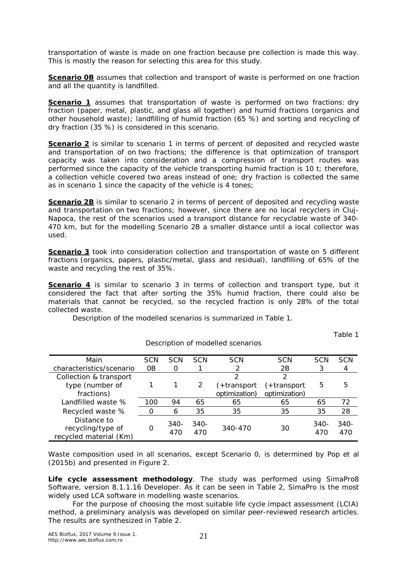transportation of waste is made on one fraction because pre collection is made this way. This is mostly the reason for selecting this area for this study.

**Scenario 0B** assumes that collection and transport of waste is performed on one fraction and all the quantity is landfilled.

*Scenario 1* assumes that transportation of waste is performed on two fractions: dry fraction (paper, metal, plastic, and glass all together) and humid fractions (organics and other household waste); landfilling of humid fraction (65 %) and sorting and recycling of dry fraction (35 %) is considered in this scenario.

**Scenario 2** is similar to scenario 1 in terms of percent of deposited and recycled waste and transportation of on two fractions; the difference is that optimization of transport capacity was taken into consideration and a compression of transport routes was performed since the capacity of the vehicle transporting humid fraction is 10 t; therefore, a collection vehicle covered two areas instead of one; dry fraction is collected the same as in scenario 1 since the capacity of the vehicle is 4 tones;

**Scenario 2B** is similar to scenario 2 in terms of percent of deposited and recycling waste and transportation on two fractions; however, since there are no local recyclers in Cluj-Napoca, the rest of the scenarios used a transport distance for recyclable waste of 340- 470 km, but for the modelling Scenario 2B a smaller distance until a local collector was used.

**Scenario 3** took into consideration collection and transportation of waste on 5 different fractions (organics, papers, plastic/metal, glass and residual), landfilling of 65% of the waste and recycling the rest of 35%.

**Scenario 4** is similar to scenario 3 in terms of collection and transport type, but it considered the fact that after sorting the 35% humid fraction, there could also be materials that cannot be recycled, so the recycled fraction is only 28% of the total collected waste.

Description of modelled scenarios

Description of the modelled scenarios is summarized in Table 1.

Table 1

| Main                                                       | SCN | <b>SCN</b>  | <b>SCN</b>  | <b>SCN</b>    | <b>SCN</b>    | SCN         | <b>SCN</b>  |
|------------------------------------------------------------|-----|-------------|-------------|---------------|---------------|-------------|-------------|
| characteristics/scenario                                   | ΩB  | 0           |             |               | 2B            |             |             |
| Collection & transport                                     |     |             |             | ⌒             | っ             |             |             |
| type (number of                                            |     |             | 2           | (+transport   | (+transport   | 5           | 5           |
| fractions)                                                 |     |             |             | optimization) | optimization) |             |             |
| Landfilled waste %                                         | 100 | 94          | 65          | 65            | 65            | 65          | 72          |
| Recycled waste %                                           |     | 6           | 35          | 35            | 35            | 35          | 28          |
| Distance to<br>recycling/type of<br>recycled material (Km) | Ω   | 340-<br>470 | 340-<br>470 | 340-470       | 30            | 340-<br>470 | 340-<br>470 |

Waste composition used in all scenarios, except Scenario 0, is determined by Pop et al (2015b) and presented in Figure 2.

*Life cycle assessment methodology*. The study was performed using SimaPro8 Software, version 8.1.1.16 Developer. As it can be seen in Table 2, SimaPro is the most widely used LCA software in modelling waste scenarios.

For the purpose of choosing the most suitable life cycle impact assessment (LCIA) method, a preliminary analysis was developed on similar peer-reviewed research articles. The results are synthesized in Table 2.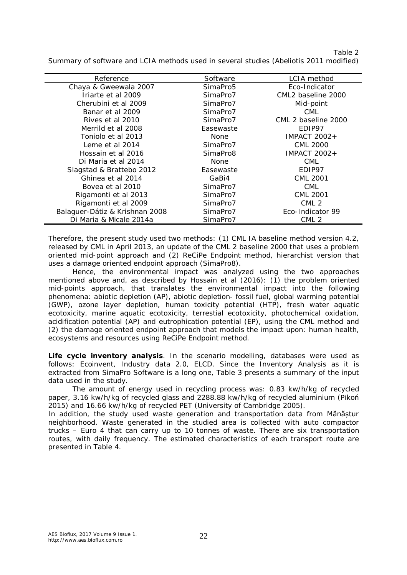Table 2 Summary of software and LCIA methods used in several studies (Abeliotis 2011 modified)

| Reference                      | Software             | LCIA method         |
|--------------------------------|----------------------|---------------------|
| Chaya & Gweewala 2007          | SimaPro <sub>5</sub> | Eco-Indicator       |
| Iriarte et al 2009             | SimaPro7             | CML2 baseline 2000  |
| Cherubini et al 2009           | SimaPro7             | Mid-point           |
| Banar et al 2009               | SimaPro7             | <b>CML</b>          |
| Rives et al 2010               | SimaPro7             | CML 2 baseline 2000 |
| Merrild et al 2008             | Easewaste            | EDIP97              |
| Toniolo et al 2013             | <b>None</b>          | <b>IMPACT 2002+</b> |
| Leme et al 2014                | SimaPro7             | CML 2000            |
| Hossain et al 2016             | SimaPro8             | IMPACT $2002+$      |
| Di Maria et al 2014            | <b>None</b>          | <b>CML</b>          |
| Slagstad & Brattebo 2012       | Easewaste            | EDIP97              |
| Ghinea et al 2014              | GaBi4                | <b>CML 2001</b>     |
| Bovea et al 2010               | SimaPro7             | <b>CML</b>          |
| Rigamonti et al 2013           | SimaPro7             | <b>CML 2001</b>     |
| Rigamonti et al 2009           | SimaPro7             | CML <sub>2</sub>    |
| Balaguer-Dátiz & Krishnan 2008 | SimaPro7             | Eco-Indicator 99    |
| Di Maria & Micale 2014a        | SimaPro7             | CML <sub>2</sub>    |

Therefore, the present study used two methods: (1) CML IA baseline method version 4.2, released by CML in April 2013, an update of the CML 2 baseline 2000 that uses a problem oriented mid-point approach and (2) ReCiPe Endpoint method, hierarchist version that uses a damage oriented endpoint approach (SimaPro8).

Hence, the environmental impact was analyzed using the two approaches mentioned above and, as described by Hossain et al (2016): (1) the problem oriented mid-points approach, that translates the environmental impact into the following phenomena: abiotic depletion (AP), abiotic depletion- fossil fuel, global warming potential (GWP), ozone layer depletion, human toxicity potential (HTP), fresh water aquatic ecotoxicity, marine aquatic ecotoxicity, terrestial ecotoxicity, photochemical oxidation, acidification potential (AP) and eutrophication potential (EP), using the CML method and (2) the damage oriented endpoint approach that models the impact upon: human health, ecosystems and resources using ReCiPe Endpoint method.

*Life cycle inventory analysis*. In the scenario modelling, databases were used as follows: Ecoinvent, Industry data 2.0, ELCD. Since the Inventory Analysis as it is extracted from SimaPro Software is a long one, Table 3 presents a summary of the input data used in the study.

The amount of energy used in recycling process was: 0.83 kw/h/kg of recycled paper, 3.16 kw/h/kg of recycled glass and 2288.88 kw/h/kg of recycled aluminium (Pikoń 2015) and 16.66 kw/h/kg of recycled PET (University of Cambridge 2005).

In addition, the study used waste generation and transportation data from Mănăștur neighborhood. Waste generated in the studied area is collected with auto compactor trucks – Euro 4 that can carry up to 10 tonnes of waste. There are six transportation routes, with daily frequency. The estimated characteristics of each transport route are presented in Table 4.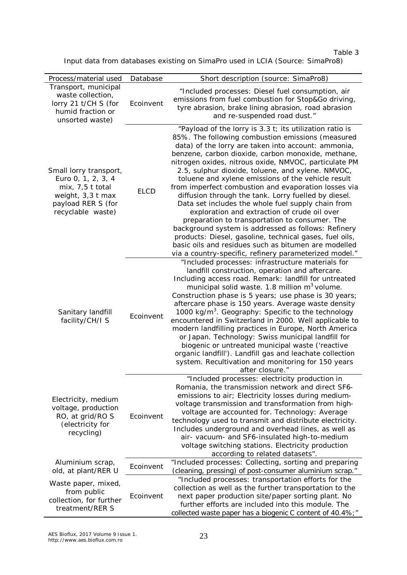Table 3

Input data from databases existing on SimaPro used in LCIA (Source: SimaPro8)

| Process/material used                                                                                                               | Database    | Short description (source: SimaPro8)                                                                                                                                                                                                                                                                                                                                                                                                                                                                                                                                                                                                                                                                                                                                                                                                                                                                       |
|-------------------------------------------------------------------------------------------------------------------------------------|-------------|------------------------------------------------------------------------------------------------------------------------------------------------------------------------------------------------------------------------------------------------------------------------------------------------------------------------------------------------------------------------------------------------------------------------------------------------------------------------------------------------------------------------------------------------------------------------------------------------------------------------------------------------------------------------------------------------------------------------------------------------------------------------------------------------------------------------------------------------------------------------------------------------------------|
| Transport, municipal<br>waste collection,<br>lorry 21 t/CH S (for<br>humid fraction or<br>unsorted waste)                           | Ecoinvent   | "Included processes: Diesel fuel consumption, air<br>emissions from fuel combustion for Stop&Go driving,<br>tyre abrasion, brake lining abrasion, road abrasion<br>and re-suspended road dust."                                                                                                                                                                                                                                                                                                                                                                                                                                                                                                                                                                                                                                                                                                            |
| Small lorry transport,<br>Euro 0, 1, 2, 3, 4<br>$mix, 7, 5$ t total<br>weight, 3,3 t max<br>payload RER S (for<br>recyclable waste) | <b>ELCD</b> | "Payload of the lorry is 3.3 t; its utilization ratio is<br>85%. The following combustion emissions (measured<br>data) of the lorry are taken into account: ammonia,<br>benzene, carbon dioxide, carbon monoxide, methane,<br>nitrogen oxides, nitrous oxide, NMVOC, particulate PM<br>2.5, sulphur dioxide, toluene, and xylene. NMVOC,<br>toluene and xylene emissions of the vehicle result<br>from imperfect combustion and evaporation losses via<br>diffusion through the tank. Lorry fuelled by diesel.<br>Data set includes the whole fuel supply chain from<br>exploration and extraction of crude oil over<br>preparation to transportation to consumer. The<br>background system is addressed as follows: Refinery<br>products: Diesel, gasoline, technical gases, fuel oils,<br>basic oils and residues such as bitumen are modelled<br>via a country-specific, refinery parameterized model." |
| Sanitary landfill<br>facility/CH/I S                                                                                                | Ecoinvent   | "Included processes: infrastructure materials for<br>landfill construction, operation and aftercare.<br>Including access road. Remark: landfill for untreated<br>municipal solid waste. 1.8 million m <sup>3</sup> volume.<br>Construction phase is 5 years; use phase is 30 years;<br>aftercare phase is 150 years. Average waste density<br>1000 kg/m <sup>3</sup> . Geography: Specific to the technology<br>encountered in Switzerland in 2000. Well applicable to<br>modern landfilling practices in Europe, North America<br>or Japan. Technology: Swiss municipal landfill for<br>biogenic or untreated municipal waste ('reactive<br>organic landfill'). Landfill gas and leachate collection<br>system. Recultivation and monitoring for 150 years<br>after closure."                                                                                                                             |
| Electricity, medium<br>voltage, production<br>RO, at grid/RO S<br>(electricity for<br>recycling)                                    | Ecoinvent   | "Included processes: electricity production in<br>Romania, the transmission network and direct SF6-<br>emissions to air; Electricity losses during medium-<br>voltage transmission and transformation from high-<br>voltage are accounted for. Technology: Average<br>technology used to transmit and distribute electricity.<br>Includes underground and overhead lines, as well as<br>air- vacuum- and SF6-insulated high-to-medium<br>voltage switching stations. Electricity production<br>according to related datasets".                                                                                                                                                                                                                                                                                                                                                                             |
| Aluminium scrap,<br>old, at plant/RER U                                                                                             | Ecoinvent   | "Included processes: Collecting, sorting and preparing<br>(cleaning, pressing) of post-consumer aluminium scrap."                                                                                                                                                                                                                                                                                                                                                                                                                                                                                                                                                                                                                                                                                                                                                                                          |
| Waste paper, mixed,<br>from public<br>collection, for further<br>treatment/RER S                                                    | Ecoinvent   | "Included processes: transportation efforts for the<br>collection as well as the further transportation to the<br>next paper production site/paper sorting plant. No<br>further efforts are included into this module. The<br>collected waste paper has a biogenic C content of 40.4%;"                                                                                                                                                                                                                                                                                                                                                                                                                                                                                                                                                                                                                    |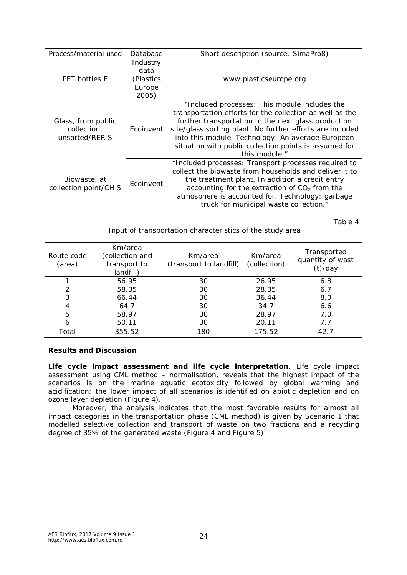| Process/material used                               | Database         | Short description (source: SimaPro8)                                                                                                                                                                                                                                                                                                                          |  |
|-----------------------------------------------------|------------------|---------------------------------------------------------------------------------------------------------------------------------------------------------------------------------------------------------------------------------------------------------------------------------------------------------------------------------------------------------------|--|
| <b>PET bottles E</b>                                | Industry<br>data |                                                                                                                                                                                                                                                                                                                                                               |  |
|                                                     | (Plastics)       | www.plasticseurope.org                                                                                                                                                                                                                                                                                                                                        |  |
|                                                     | Europe<br>2005)  |                                                                                                                                                                                                                                                                                                                                                               |  |
| Glass, from public<br>collection.<br>unsorted/RER S | Ecoinvent        | "Included processes: This module includes the<br>transportation efforts for the collection as well as the<br>further transportation to the next glass production<br>site/glass sorting plant. No further efforts are included<br>into this module. Technology: An average European<br>situation with public collection points is assumed for<br>this module." |  |
| Biowaste, at<br>collection point/CH S               | Ecoinvent        | "Included processes: Transport processes required to<br>collect the biowaste from households and deliver it to<br>the treatment plant. In addition a credit entry<br>accounting for the extraction of $CO2$ from the<br>atmosphere is accounted for. Technology: garbage<br>truck for municipal waste collection."                                            |  |

Table 4

Input of transportation characteristics of the study area

| <i>Route code</i><br>(area) | Km/area<br>(collection and<br>transport to<br>landfill) | Km/area<br>(transport to landfill) | Km/area<br>(collection) | Transported<br>quantity of wast<br>(t)/day |
|-----------------------------|---------------------------------------------------------|------------------------------------|-------------------------|--------------------------------------------|
|                             | 56.95                                                   | 30                                 | 26.95                   | 6.8                                        |
|                             | 58.35                                                   | 30                                 | 28.35                   | 6.7                                        |
| 3                           | 66.44                                                   | 30                                 | 36.44                   | 8.0                                        |
| 4                           | 64.7                                                    | 30                                 | 34.7                    | 6.6                                        |
| 5                           | 58.97                                                   | 30                                 | 28.97                   | 7.0                                        |
| 6                           | 50.11                                                   | 30                                 | 20.11                   | 7.7                                        |
| Total                       | 355.52                                                  | 180                                | 175.52                  | 42.7                                       |

## **Results and Discussion**

*Life cycle impact assessment and life cycle interpretation*. Life cycle impact assessment using CML method – normalisation, reveals that the highest impact of the scenarios is on the marine aquatic ecotoxicity followed by global warming and acidification; the lower impact of all scenarios is identified on abiotic depletion and on ozone layer depletion (Figure 4).

Moreover, the analysis indicates that the most favorable results for almost all impact categories in the transportation phase (CML method) is given by Scenario 1 that modelled selective collection and transport of waste on two fractions and a recycling degree of 35% of the generated waste (Figure 4 and Figure 5).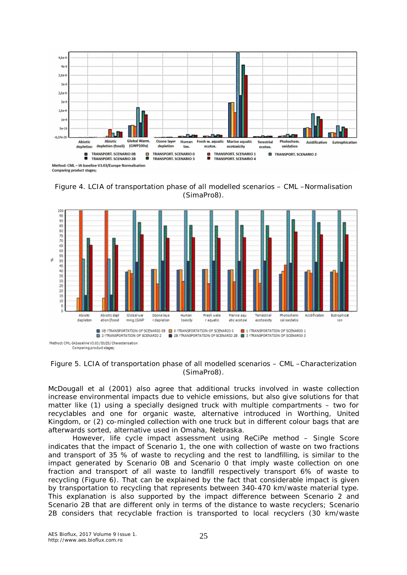

Figure 4. LCIA of transportation phase of all modelled scenarios – CML –Normalisation (SimaPro8).



Figure 5. LCIA of transportation phase of all modelled scenarios – CML –Characterization (SimaPro8).

McDougall et al (2001) also agree that additional trucks involved in waste collection increase environmental impacts due to vehicle emissions, but also give solutions for that matter like (1) using a specially designed truck with multiple compartments – two for recyclables and one for organic waste, alternative introduced in Worthing, United Kingdom, or (2) co-mingled collection with one truck but in different colour bags that are afterwards sorted, alternative used in Omaha, Nebraska.

However, life cycle impact assessment using ReCiPe method – Single Score indicates that the impact of Scenario 1, the one with collection of waste on two fractions and transport of 35 % of waste to recycling and the rest to landfilling, is similar to the impact generated by Scenario 0B and Scenario 0 that imply waste collection on one fraction and transport of all waste to landfill respectively transport 6% of waste to recycling (Figure 6). That can be explained by the fact that considerable impact is given by transportation to recycling that represents between 340-470 km/waste material type. This explanation is also supported by the impact difference between Scenario 2 and Scenario 2B that are different only in terms of the distance to waste recyclers; Scenario 2B considers that recyclable fraction is transported to local recyclers (30 km/waste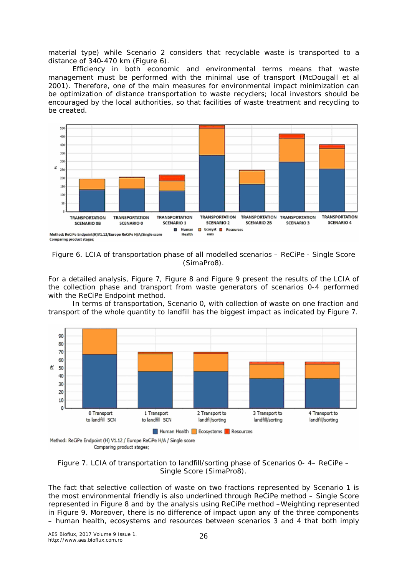material type) while Scenario 2 considers that recyclable waste is transported to a distance of 340-470 km (Figure 6).

Efficiency in both economic and environmental terms means that waste management must be performed with the minimal use of transport (McDougall et al 2001). Therefore, one of the main measures for environmental impact minimization can be optimization of distance transportation to waste recyclers; local investors should be encouraged by the local authorities, so that facilities of waste treatment and recycling to be created.



Figure 6. LCIA of transportation phase of all modelled scenarios – ReCiPe - Single Score (SimaPro8).

For a detailed analysis, Figure 7, Figure 8 and Figure 9 present the results of the LCIA of the collection phase and transport from waste generators of scenarios 0-4 performed with the ReCiPe Endpoint method.

In terms of transportation, Scenario 0, with collection of waste on one fraction and transport of the whole quantity to landfill has the biggest impact as indicated by Figure 7.



Figure 7. LCIA of transportation to landfill/sorting phase of Scenarios 0- 4– ReCiPe – Single Score (SimaPro8).

The fact that selective collection of waste on two fractions represented by Scenario 1 is the most environmental friendly is also underlined through ReCiPe method – Single Score represented in Figure 8 and by the analysis using ReCiPe method –Weighting represented in Figure 9. Moreover, there is no difference of impact upon any of the three components – human health, ecosystems and resources between scenarios 3 and 4 that both imply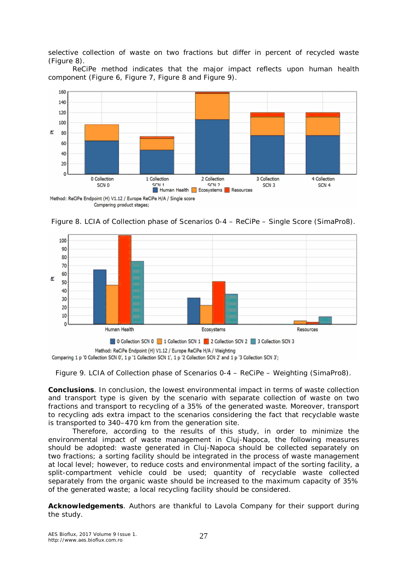selective collection of waste on two fractions but differ in percent of recycled waste (Figure 8).

ReCiPe method indicates that the major impact reflects upon human health component (Figure 6, Figure 7, Figure 8 and Figure 9).



Comparing product stages;





Figure 9. LCIA of Collection phase of Scenarios 0-4 – ReCiPe – Weighting (SimaPro8).

**Conclusions**. In conclusion, the lowest environmental impact in terms of waste collection and transport type is given by the scenario with separate collection of waste on two fractions and transport to recycling of a 35% of the generated waste. Moreover, transport to recycling ads extra impact to the scenarios considering the fact that recyclable waste is transported to 340–470 km from the generation site.

Therefore, according to the results of this study, in order to minimize the environmental impact of waste management in Cluj-Napoca, the following measures should be adopted: waste generated in Cluj-Napoca should be collected separately on two fractions; a sorting facility should be integrated in the process of waste management at local level; however, to reduce costs and environmental impact of the sorting facility, a split-compartment vehicle could be used; quantity of recyclable waste collected separately from the organic waste should be increased to the maximum capacity of 35% of the generated waste; a local recycling facility should be considered.

**Acknowledgements**. Authors are thankful to Lavola Company for their support during the study.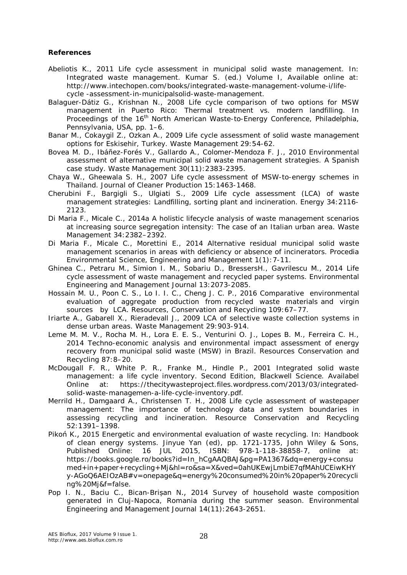## **References**

- Abeliotis K., 2011 Life cycle assessment in municipal solid waste management. In: Integrated waste management. Kumar S. (ed.) Volume I, Available online at: http://www.intechopen.com/books/integrated-waste-management-volume-i/lifecycle -assessment-in-municipalsolid-waste-management.
- Balaguer-Dátiz G., Krishnan N., 2008 Life cycle comparison of two options for MSW management in Puerto Rico: Thermal treatment vs. modern landfilling. In Proceedings of the 16<sup>th</sup> North American Waste-to-Energy Conference, Philadelphia, Pennsylvania, USA, pp. 1–6.
- Banar M., Cokaygil Z., Ozkan A., 2009 Life cycle assessment of solid waste management options for Eskisehir, Turkey. Waste Management 29:54-62.
- Bovea M. D., Ibáñez-Forés V., Gallardo A., Colomer-Mendoza F. J., 2010 Environmental assessment of alternative municipal solid waste management strategies. A Spanish case study. Waste Management 30(11):2383-2395.
- Chaya W., Gheewala S. H., 2007 Life cycle assessment of MSW-to-energy schemes in Thailand. Journal of Cleaner Production 15:1463-1468.
- Cherubini F., Bargigli S., Ulgiati S., 2009 Life cycle assessment (LCA) of waste management strategies: Landfilling, sorting plant and incineration. Energy 34:2116- 2123.
- Di Maria F., Micale C., 2014a A holistic lifecycle analysis of waste management scenarios at increasing source segregation intensity: The case of an Italian urban area. Waste Management 34:2382–2392.
- Di Maria F., Micale C., Morettini E., 2014 Alternative residual municipal solid waste management scenarios in areas with deficiency or absence of incinerators. Procedia Environmental Science, Engineering and Management 1(1):7-11.
- Ghinea C., Petraru M., Simion I. M., Sobariu D., BressersH., Gavrilescu M., 2014 Life cycle assessment of waste management and recycled paper systems. Environmental Engineering and Management Journal 13:2073-2085.
- Hossain M. U., Poon C. S., Lo I. I. C., Cheng J. C. P., 2016 Comparative environmental evaluation of aggregate production from recycled waste materials and virgin sources by LCA. Resources, Conservation and Recycling 109:67–77.
- Iriarte A., Gabarell X., Rieradevall J., 2009 LCA of selective waste collection systems in dense urban areas. Waste Management 29:903-914.
- Leme M. M. V., Rocha M. H., Lora E. E. S., Venturini O. J., Lopes B. M., Ferreira C. H., 2014 Techno-economic analysis and environmental impact assessment of energy recovery from municipal solid waste (MSW) in Brazil. Resources Conservation and Recycling 87:8–20.
- McDougall F. R., White P. R., Franke M., Hindle P., 2001 Integrated solid waste management: a life cycle inventory. Second Edition, Blackwell Science. Availabel Online at: https://thecitywasteproject.files.wordpress.com/2013/03/integratedsolid-waste-managemen-a-life-cycle-inventory.pdf.
- Merrild H., Damgaard A., Christensen T. H., 2008 Life cycle assessment of wastepaper management: The importance of technology data and system boundaries in assessing recycling and incineration. Resource Conservation and Recycling 52:1391–1398.
- Pikoń K., 2015 Energetic and environmental evaluation of waste recycling. In: Handbook of clean energy systems. Jinyue Yan (ed), pp. 1721-1735, John Wiley & Sons, Published Online: 16 JUL 2015, ISBN: 978-1-118-38858-7, online at: https://books.google.ro/books?id=In\_hCgAAQBAJ&pg=PA1367&dq=energy+consu med+in+paper+recycling+Mj&hl=ro&sa=X&ved=0ahUKEwjLmbiE7qfMAhUCEiwKHY y-AGoQ6AEIOzAB#v=onepage&q=energy%20consumed%20in%20paper%20recycli ng%20Mj&f=false.
- Pop I. N., Baciu C., Bican-Brișan N., 2014 Survey of household waste composition generated in Cluj-Napoca, Romania during the summer season. Environmental Engineering and Management Journal 14(11):2643-2651.